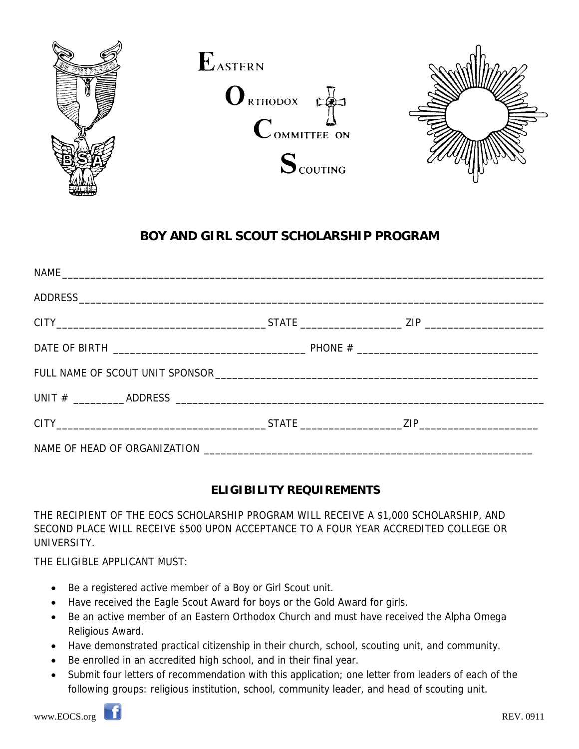

# **BOY AND GIRL SCOUT SCHOLARSHIP PROGRAM**

| $CITY$ $ZIP$ |  |
|--------------|--|
|              |  |

### **ELIGIBILITY REQUIREMENTS**

THE RECIPIENT OF THE EOCS SCHOLARSHIP PROGRAM WILL RECEIVE A \$1,000 SCHOLARSHIP, AND SECOND PLACE WILL RECEIVE \$500 UPON ACCEPTANCE TO A FOUR YEAR ACCREDITED COLLEGE OR UNIVERSITY.

THE ELIGIBLE APPLICANT MUST:

- Be a registered active member of a Boy or Girl Scout unit.
- Have received the Eagle Scout Award for boys or the Gold Award for girls.
- Be an active member of an Eastern Orthodox Church and must have received the Alpha Omega Religious Award.
- Have demonstrated practical citizenship in their church, school, scouting unit, and community.
- Be enrolled in an accredited high school, and in their final year.
- Submit four letters of recommendation with this application; one letter from leaders of each of the following groups: religious institution, school, community leader, and head of scouting unit.

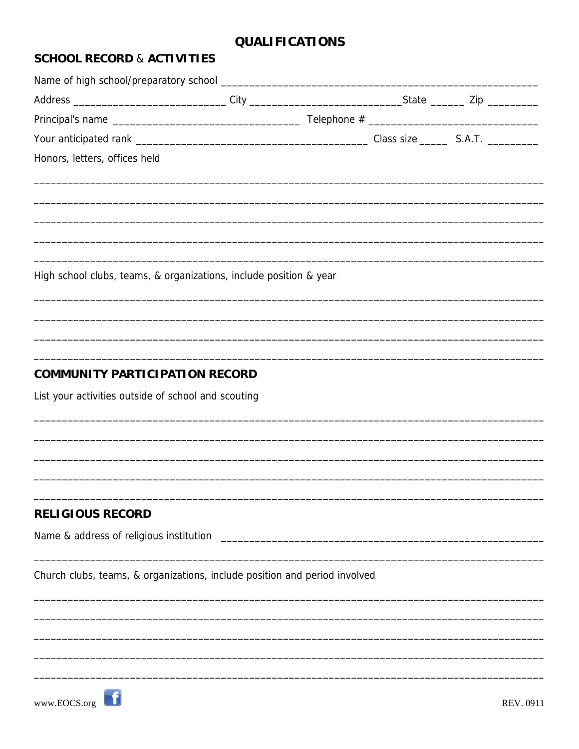## **QUALIFICATIONS**

### **SCHOOL RECORD & ACTIVITIES**

| Address ________________________________City ___________________________________State __________Zip ___________ |  |  |
|-----------------------------------------------------------------------------------------------------------------|--|--|
|                                                                                                                 |  |  |
|                                                                                                                 |  |  |
| Honors, letters, offices held                                                                                   |  |  |
|                                                                                                                 |  |  |
|                                                                                                                 |  |  |
|                                                                                                                 |  |  |
|                                                                                                                 |  |  |
| High school clubs, teams, & organizations, include position & year                                              |  |  |
|                                                                                                                 |  |  |
|                                                                                                                 |  |  |
|                                                                                                                 |  |  |
| <b>COMMUNITY PARTICIPATION RECORD</b>                                                                           |  |  |
| List your activities outside of school and scouting                                                             |  |  |
|                                                                                                                 |  |  |
|                                                                                                                 |  |  |
|                                                                                                                 |  |  |
|                                                                                                                 |  |  |
| <b>RELIGIOUS RECORD</b>                                                                                         |  |  |
|                                                                                                                 |  |  |
|                                                                                                                 |  |  |
| Church clubs, teams, & organizations, include position and period involved                                      |  |  |
|                                                                                                                 |  |  |
|                                                                                                                 |  |  |
|                                                                                                                 |  |  |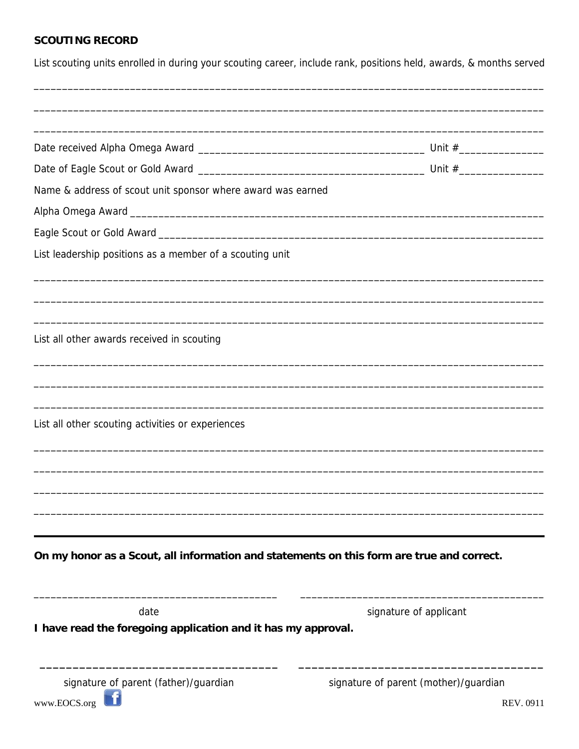### **SCOUTING RECORD**

List scouting units enrolled in during your scouting career, include rank, positions held, awards, & months served

| Name & address of scout unit sponsor where award was earned                               |                                                    |  |
|-------------------------------------------------------------------------------------------|----------------------------------------------------|--|
|                                                                                           |                                                    |  |
|                                                                                           |                                                    |  |
| List leadership positions as a member of a scouting unit                                  |                                                    |  |
|                                                                                           |                                                    |  |
| List all other awards received in scouting                                                |                                                    |  |
|                                                                                           |                                                    |  |
| List all other scouting activities or experiences                                         |                                                    |  |
|                                                                                           |                                                    |  |
|                                                                                           |                                                    |  |
|                                                                                           |                                                    |  |
| On my honor as a Scout, all information and statements on this form are true and correct. |                                                    |  |
| date                                                                                      | signature of applicant                             |  |
| I have read the foregoing application and it has my approval.                             |                                                    |  |
| signature of parent (father)/guardian<br>www.EOCS.org                                     | signature of parent (mother)/guardian<br>REV. 0911 |  |